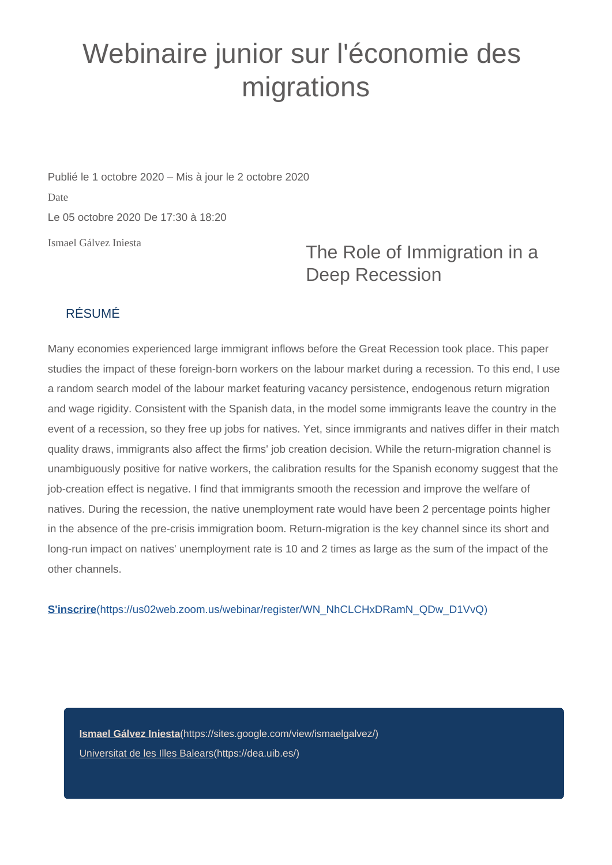## Webinaire junior sur l'économie des migrations

Ismael Gálvez Iniesta Publié le 1 octobre 2020 – Mis à jour le 2 octobre 2020 Date Le 05 octobre 2020 De 17:30 à 18:20

## The Role of Immigration in a Deep Recession

## RÉSUMÉ

Many economies experienced large immigrant inflows before the Great Recession took place. This paper studies the impact of these foreign-born workers on the labour market during a recession. To this end, I use a random search model of the labour market featuring vacancy persistence, endogenous return migration and wage rigidity. Consistent with the Spanish data, in the model some immigrants leave the country in the event of a recession, so they free up jobs for natives. Yet, since immigrants and natives differ in their match quality draws, immigrants also affect the firms' job creation decision. While the return-migration channel is unambiguously positive for native workers, the calibration results for the Spanish economy suggest that the job-creation effect is negative. I find that immigrants smooth the recession and improve the welfare of natives. During the recession, the native unemployment rate would have been 2 percentage points higher in the absence of the pre-crisis immigration boom. Return-migration is the key channel since its short and long-run impact on natives' unemployment rate is 10 and 2 times as large as the sum of the impact of the other channels.

**S'inscrire**[\(https://us02web.zoom.us/webinar/register/WN\\_NhCLCHxDRamN\\_QDw\\_D1VvQ\)](https://us02web.zoom.us/webinar/register/WN_NhCLCHxDRamN_QDw_D1VvQ)

**Ismael Gálvez Iniesta**[\(https://sites.google.com/view/ismaelgalvez/\)](https://sites.google.com/view/ismaelgalvez/) [Universitat de les Illes Balears\(https://dea.uib.es/\)](https://dea.uib.es/)